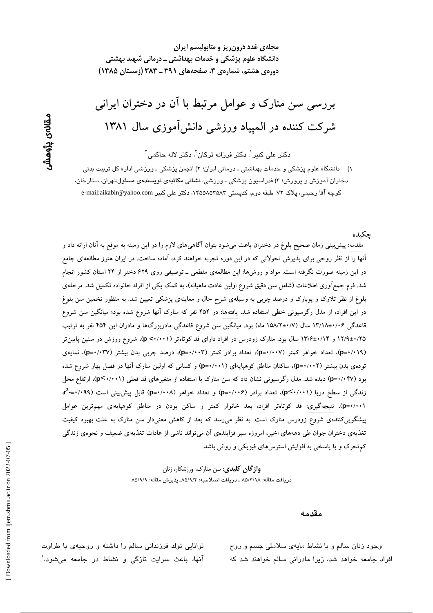مجلهی غدد درون ریز و متابولیسم ایران دانشگاه علوم پزشکی و خدمات بهداشتی ــ درمانی شهید بهشتی دوردی هشتم، شماردی ۴، صفحههای ۳۹۱ ـ ۳۸۳ (زمستان ۱۳۸۵)

# بررسی سن منارک و عوامل مرتبط با آن در دختران ایرانی شرکت کننده در المپیاد ورزشی دانش آموزی سال ۱۳۸۱

دکتر علی کبیر<sup>י</sup>، دکتر فرزانه ترکان<sup>י</sup>، دکتر لاله حاکمی<sup>۳</sup>

۱) ۔ دانشگاه علوم پزشکی و خدمات بهداشتی ـ درمانی ایران؛ ۲) انجمن پزشکی ـ ورزشی اداره کل تربیت بدنی دختران آموزش و پرورش؛ ۳) فدراسیون پزشکی ــ ورزشی، **نشانی مکاتبهی نویسندهی مسئول**:تهران، ستارخان، كوچه آقا رحيمي، پلاک ٧٢، طبقه دوم، کدپستی ٨۴۵۵۸۵۲۵۸۳، دكتر على كبير e-mail:aikabir@yahoo.com

جكىدە

مقدمه: پیش بینی زمان صحیح بلوغ در دختران باعث میشود بتوان آگاهیهای لازم را در این زمینه به موقع به آنان ارائه داد و آنها را از نظر روحی برای پذیرش تحولاتی که در این دوره تجربه خواهند کرد، آماده ساخت. در ایران هنوز مطالعهای جامع در این زمینه صورت نگرفته است. مواد و روشها: این مطالعهی مقطعی ــ توصیفی روی ۶۲۹ دختر از ۲۴ استان کشور انجام شد. فرم جمع[وری اطلاعات (شامل سن دقیق شروع اولین عادت ماهیانه)، به کمک یکی از افراد خانواده تکمیل شد. مرحلهی بلوغ از نظر تلارک و پوبارک و درصد چربی به وسیلهی شرح حال و معاینهی پزشکی تعیین شد. به منظور تخمین سن بلوغ در این افراد، از مدل رگرسیونی خطی استفاده شد. یافتهها: در ۴۵۴ نفر که منارک آنها شروع شده بود؛ میانگین سن شروع قاعدگی ۱۳/۱۸±۰/۰۶ سال (۱۵۸/۲±۰/۷ ماه) بود. میانگین سن شروع قاعدگی مادربزرگها و مادران این ۴۵۴ نفر به ترتیب ۱۲/۹±۰/۲۵ و ۱۳/۶±۰/۱۴ سال بود. منارک زودرس در افراد دارای قد کوتاهتر (p <۰/۰۰۱)، شروع ورزش در سنین پایین تر (p=۰/۰۱۹)، تعداد خواهر کمتر (p=۰/۰۰۷)، تعداد برادر کمتر (p+۰/۰۰۳)، درصد چربی بدن بیشتر (p=۰/۰۳۷)، نمایهی تودهی بدن بیشتر (p=٠/٠٠٢)، ساکنان مناطق کوهپایهای (p=۰/۰۰۱) و کسانی که اولین منارک آنها در فصل بهار شروع شده بود (p=۰/۰۴۷) دیده شد. مدل رگرسیونی نشان داد که سن منارک با استفاده از متغیرهای قد فعلی (p<۰/۰۰۱)، ارتفاع محل زندگی از سطح دریا (p<۰/۰۰۱)، تعداد برادر (p=۰/۰۰۶) و تعداد خواهر (p=۰/۰۰۸) قابل پیش بینی است (۰۹۹–۳<sup>2</sup>۰ (p=۰/۰۰۱). نتیجهگیری: قد کوتاهتر افراد، بعد خانوار کمتر و ساکن بودن در مناطق کوهپایهای مهمترین عوامل پیشگوییکنندهی شروع زودرس منارک است. به نظر میرسد که بعد از کاهش معنیدار سن منارک به علت بهبود کیفیت تغذیهی دختران جوان طی دهههای اخیر، امروزه سیر فزایندهی آن میتواند ناشی از عادات تغذیهای ضعیف و نحوهی زندگی کم تحرک و یا پاسخی به افزایش استرسهای فیزیکی و روانی باشد.

> **واژگان کلیدی**: سن منارک، ورزشکار، زنان دريافت مقاله: ٨٥/۴/١٨ ـ دريافت اصلاحيه: ٨٥/٩/٢ـ پذيرش مقاله: ٨٥/٩/٩

> > مقدمه

وجود زنان سالم و با نشاط مایهی سلامتی جسم و روح افراد جامعه خواهد شد، زیرا مادرانی سالم خواهند شد که

توانایی تولد فرزندانی سالم را داشته و روحیهی با طراوت آنها، باعث سرایت تازگی و نشاط در جامعه میشود.`

مقالەي پڑوھش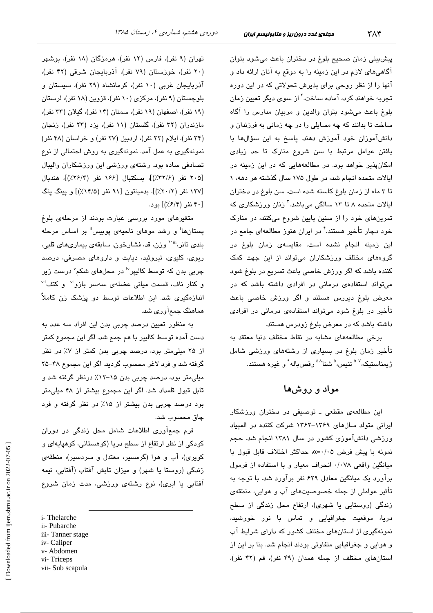پیشبینی زمان صحیح بلوغ در دختران باعث میشود بتوان آگاهی های لازم در این زمینه را به موقع به آنان ارائه داد و آنها را از نظر روحی برای پذیرش تحولاتی که در این دوره تجربه خوا*ه*ند کرد، آماده ساخت.<sup>۲</sup> از سو*ی* دیگر تعیین زمان بلوغ باعث می شود بتوان والدین و مربیان مدارس را آگاه ساخت تا بدانند که چه مسایلی را در چه زمانی به فرزندان و دانشآموزان خود آموزش دهند. پاسخ به این سؤالها با یافتن عوامل مرتبط با سن شروع منارک تا حد زیادی امکانپذیر خواهد بود. در مطالعههایی که در این زمینه در ایالات متحده انجام شد، در طول ۱۷۵ سال گذشته هر دهه، ۱ تا ۳ ماه از زمان بلوغ کاسته شده است. سن بلوغ در دختران ایالات متحده ۸ تا ۱۳ سالگی میباشد.<sup>۲</sup> زنان ورزشکاری که تمرینهای خود را از سنین پایین شروع میکنند، در منارک خود دچار تأخیر هستند.<sup>۴</sup> در ایران هنوز مطالعهای جامع در این زمینه انجام نشده است. مقایسه*ی* زمان بلوغ در گروههای مختلف ورزشکاران میتواند از این جهت کمک کننده باشد که اگر ورزش خاصی باعث تسریع در بلوغ شود میتواند استفادهی درمانی در افرادی داشته باشد که در معرض بلوغ دیررس هستند و اگر ورزش خاصی باعث تأخیر در بلوغ شود میتواند استفادهی درمانی در افرادی داشته باشد که در معرض بلوغ زودرس هستند.

برخی مطالعههای مشابه در نقاط مختلف دنیا معتقد به تأخیر زمان بلوغ در بسیاری از رشتههای ورزشی شامل ژىمناستىك،<sup>7-0</sup> تنىس،<sup>0</sup> شنا<sup>^۰۵</sup> رقصىياله<sup>۹</sup> و غيره ھستند.

### مواد و روشها

این مطالعهی مقطعی ـ توصیفی در دختران ورزشکار ایرانی متولد سالهای ۱۳۶۹–۱۳۶۲ شرکت کننده در المپیاد ورزشی دانشآموزی کشور در سال ۱۳۸۱ انجام شد. حجم نمونه با پیش فرض ۰/۰۵=α حداکثر اختلاف قابل قبول با میانگین واقعی ۰/۰۷۸ انحراف معیار و با استفاده از فرمول برآورد یک میانگین معادل ۶۲۹ نفر برآورد شد. با توجه به تأثیر عواملی از جمله خصوصیتهای آب و هوایی، منطقهی زندگی (روستایی یا شهری)، ارتفاع محل زندگی از سطح دريا، موقعيت جغرافيايى و تماس با نور خورشيد، نمونهگری از استانهای مختلف کشور که دارای شرایط آب و هوایی و جغرافیایی متفاوتی بودند انجام شد. بنا بر این از استان های مختلف از جمله همدان (۴۹ نفر)، قم (۴۲ نفر)،

تهران (۹ نفر)، فارس (۱۲ نفر)، هرمزگان (۱۸ نفر)، بوشهر (۲۰ نفر)، خوزستان (۷۹ نفر)، آذربایجان شرقی (۴۲ نفر)، آذربایجان غربی (١٠ نفر)، كرمانشاه (٢٩ نفر)، سیستان و بلوچستان (۹ نفر)، مرکزی (۱۰ نفر)، قزوین (۱۸ نفر)، لرستان (١٩ نفر)، اصفهان (١٩ نفر)، سمنان (١۴ نفر)، گيلان (٣٣ نفر)، مازندران (۳۲ نفر)، گلستان (۱۱ نفر)، یزد (۲۳ نفر)، زنجان (٣۴ نفر)، ایلام (٢٢ نفر)، اردبیل (٢٧ نفر) و خراسان (۴٨ نفر) نمونهگیری به عمل آمد. نمونهگیری به روش احتمالی از نوع تصادفی ساده بود. رشتهی ورزشی این ورزشکاران والیبال [٢٠۵ نفر (٣٢/٤٪)]، بسكتبال [١٤۶ نفر (٢/٢٤٪)]، هندىال [۱۲۷ نفر (۲۰/۲٪)]، بدمینتون [۹۱ نفر (۱۴/۵٪)] و پینگ پنگ [۴۰ نفر (۶/۴/)] بود.

متغیرهای مورد بررسی عبارت بودند از مرحلهی بلوغ یستانها<sup>ا</sup> و رشد موهای ناحیهی یوبیس<sup>اا</sup> بر اساس مرحله بندي تانر،""` وزن، قد، فشارخون، سابقهي بيماريهاي قلبي، ریوی، کلیوی، تیروئید، دیابت و داروهای مصرفی، درصد چربی بدن که توسط کالبیر<sup>iv</sup> در محلهای شکم<sup>۷</sup> درست زیر و کنار ناف، قسمت میانی عضلهی سهسر بازو<sup>ن</sup> و کتف<sup>ii</sup> اندازهگیری شد. این اطلاعات توسط دو پزشک زن کاملاً هماهنگ جمعآوری شد.

به منظور تعیین درصد چربی بدن این افراد سه عدد به دست آمده توسط کالیپر با هم جمع شد. اگر این مجموع کمتر از ۲۵ میلی متر بود، درصد چربی بدن کمتر از ۷٪ در نظر گرفته شد و فرد لاغر محسوب گردید. اگر این مجموع ۴۸-۲۵ میلی،متر بود، درصد چربی بدن ۱۵–۱۲٪ درنظر گرفته شد و قابل قبول قلمداد شد. اگر این مجموع بیشتر از ۴۸ میلی متر بود درصد چربی بدن بیشتر از ۱۵٪ در نظر گرفته و فرد چاق محسوب شد.

فرم جمعآوری اطلاعات شامل محل زندگی در دوران کودکی از نظر ارتفاع از سطح دریا (کوهستانی، کوهیایهای و کویری)، آب و هوا (گرمسیر، معتدل و سردسیر)، منطقهی زندگی (روستا یا شهر) و میزان تابش آفتاب (آفتابی، نیمه آفتابی یا ابری)، نوع رشتهی ورزشی، مدت زمان شروع

i-Thelarche

- ii- Pubarche
- iii-Tanner stage iv-Caliper
- 
- v-Abdomen vi-Triceps
- vii- Sub scapula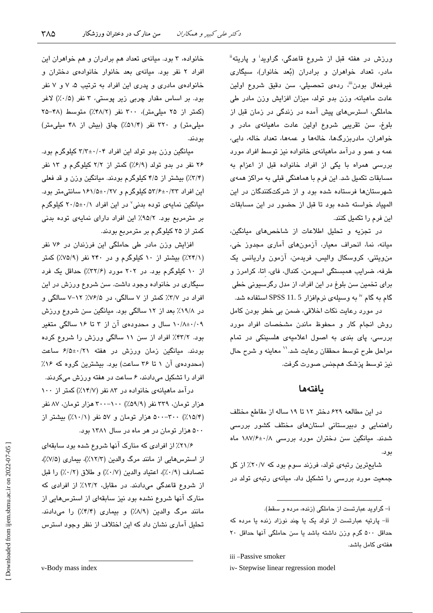ورزش در هفته قبل از شروع قاعدگی، گراوید<sup>:</sup> و پاریته" مادر، تعداد خواهران و برادران (بُعد خانوار)، سیگاری غیرفعال بودن<sup>ان</sup>، ردهی تحصیلی، سن دقیق شروع اولین عادت ماهیانه، وزن بدو تولد، میزان افزایش وزن مادر طی حاملگی، استرسهای پیش آمده در زندگی در زمان قبل از بلوغ، سن تقریبی شروع اولین عادت ماهیانهی مادر و خواهران، مادربزرگها، خالهها و عمهها، تعداد خاله، دایی، عمه و عمو و درآمد ماهیانهی خانواده نیز توسط افراد مورد بررسی همراه با یکی از افراد خانواده قبل از اعزام به مسابقات تکمیل شد. این فرم با هماهنگی قبلی به مراکز همهی شهرستانها فرستاده شده بود و از شرکتکنندگان در این الميياد خواسته شده بود تا قبل از حضور در اين مسابقات این فرم را تکمیل کنند.

در تجزيه و تحليل اطلاعات از شاخصهاى ميانگين، میانه، نما، انحراف معیار، آزمونهای آماری مجدوز خی، من،ويتني، كروسكال واليس، فريدمن، آزمون واريانس يك طرفه، ضرایب همبستگی اسپرمن، کندال، فای، اتا، کرامرز و برای تخمین سن بلوغ در این افراد، از مدل رگرسیونی خطی گام به گام <sup>۱۰</sup> به وسیلهی نرمافزار SPSS 11. 5 استفاده شد.

در مورد رعايت نكات اخلاقى، ضمن بي خطر بودن كامل روش انجام كار و محفوظ ماندن مشخصات افراد مورد بررسی، پای بندی به اصول اعلامیهی هلسینکی در تمام مراحل طرح توسط محققان رعايت شد.'` معاينه و شرح حال نیز توسط پزشک همجنس صورت گرفت.

#### بافتهها

در این مطالعه ۶۲۹ دختر ۱۲ تا ۱۹ ساله از مقاطع مختلف راهنمایی و دبیرستانی استانهای مختلف کشور بررسی شدند. میانگین سن دختران مورد بررسی ۱۸۷/۶±۰/۸ بو د.

شایعترین رتبهی تولد، فرزند سوم بود که ۲۰/۷٪ از کل جمعیت مورد بررسی را تشکیل داد. میانهی رتبهی تولد در

i- گراوید عبارتست از حاملگی (زنده، مرده و سقط).

iii-Passive smoker

iv-Stepwise linear regression model

خانواده، ۳ بود. میانهی تعداد هم برادران و هم خواهران این افراد ٢ نفر بود. میانهی بعد خانوار خانوادهی دختران و خانوادهی مادری و پدری این افراد به ترتیب ۵، ۷ و ۷ نفر بود. بر اساس مقدار چربی زیر پوستی، ۳ نفر (۰/۵٪) لاغر (کمتر از ۲۵ ملل متر)، ۳۰۰ نفر (۴۸/۲٪) متوسط (۴۸-۲۵ میلی متر) و ۳۲۰ نفر (۵۱/۴٪) چاق (بیش از ۴۸ میلی متر) بودند.

میانگین وزن بدو تولد این افراد ۲/۲±۰/۰۴ کیلوگرم بود. ۲۶ نفر در بدو تولد (۶/۹٪) کمتر از ۲/۲ کیلوگرم و ۱۳ نفر (۳/۴٪) بیشتر از ۴/۵ کیلوگرم بودند. میانگین وزن و قد فعلی این افراد ۵۳/۶±۰/۳۳ کیلوگرم و ۱۶۱/۵±۰/۲۷ سانتی متر بود. میانگین نمایهی توده بدنی<sup>،</sup> در این افراد ۲۰/۵±۰/۱ کیلوگرم بر مترمربع بود. ۹۵/۲٪ این افراد دارای نمایهی توده بدنی کمتر از ۲۵ کیلوگرم بر مترمربع بودند.

افزایش وزن مادر طی حاملگی این فرزندان در ۷۶ نفر (۲۴/۱٪) بیشتر از ۱۰ کیلوگرم و در ۲۴۰ نفر (۷۵/۹٪) کمتر از ۱۰ کیلوگرم بود. در ۲۰۲ مورد (۲۲/۶٪) حداقل یک فرد سیگاری در خانواده وجود داشت. سن شروع ورزش در این افراد در ٣/٧٪ کمتر از ٧ سالگی، در ٧۶/۵٪ ١٢-٧ سالگی و در ۱۹/۸٪ بعد از ۱۲ سالگی بود. میانگین سن شروع ورزش ۰/۸±۰/۰۹ سال و محدودهی آن از ۳ تا ۱۶ سالگی متغیر بود. ۴۲/۲٪ افراد از سن ۱۱ سالگی ورزش را شروع کرده بودند. میانگین زمان ورزش در هفته ۶/۵±۰/۲۱ ساعت (محدودهی آن ۱ تا ۳۶ ساعت) بود. بیشترین گروه که ۱۶٪ افراد را تشکیل میدادند، ۶ ساعت در هفته ورزش میکردند.

درآمد ماهیانهی خانواده در ۸۳ نفر (۱۴/۷٪) کمتر از ۱۰۰ هزار تومان، ۳۳۹ نفر (۵۹/۹٪) ۲۰۰–۳۰۰ هزار تومان، ۸۷ نفر (۰٫۵/۴٪) ۵۰۰–۵۰۰ هزار تومان و ۵۷ نفر (۰٫۱۰٪) بیشتر از ۵۰۰ هزار تومان در هر ماه در سال ۱۳۸۱ بود.

۲۱/۶٪ از افرادی که منارک آنها شروع شده بود سابقهای از استرسهایی از مانند مرگ والدین (۱۲/۳٪)، بیماری (۷/۵٪)، تصادف (٠/٩٪)، اعتياد والدين (٠/٧٪) و طلاق (٠/٢٪) را قبل از شروع قاعدگی میدادند. در مقابل، ١٣/٢٪ از افرادی که منارک آنها شروع نشده بود نیز سابقهای از استرسهایی از مانند مرگ والدین (٨/٩٪) و بیماری (٣/٢٪) را میدادند. تحلیل آماری نشان داد که این اختلاف از نظر وجود استرس

v-Body mass index

 $Y\wedge\varphi$ 

ii- پارتیه عبارتست از تولد یک یا چند نوزاد زنده یا مرده که حداقل ۵۰۰ گرم وزن داشته باشد یا سن حاملگی آنها حداقل ۲۰ هفتهى كامل باشد.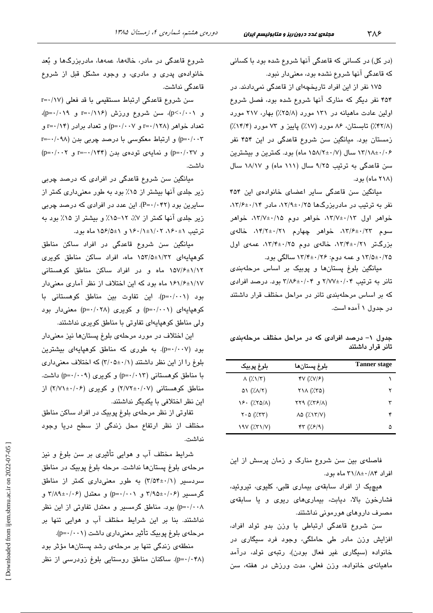(در کل) در کسانی که قاعدگی آنها شروع شده بود با کسانی که قاعدگی آنها شروع نشده بود، معنیدار نبود.

۱۷۵ نفر از این افراد تاریخچهای از قاعدگی نمیدادند. در ۴۵۴ نفر دیگر که منارک آنها شروع شده بود، فصل شروع اولین عادت ماهیانه در ۱۳۱ مورد (۲۵/۸٪) بهار، ۲۱۷ مورد (۴۲/۸٪) تابستان، ۸۶ مورد (۱۷٪) باییز و ۷۳ مورد (۱۴/۴٪) .<br>زمستان بود. میانگین سن شروع قاعدگی در این ۴۵۴ نفر ۱۳/۱۸±۰/۰۶ سال (۱۵۸/۲±۰/۷ ماه) بو د. کمترین و پیشترین سن قاعدگی به ترتیب ۹/۲۵ سال (۱۱۱ ماه) و ۱۸/۱۷ سال (۲۱۸ ماه) بود.

مبانگین سن قاعدگی سایر اعضای خانوادهی این ۴۵۴  $T/7$ نفر به ترتیب در مادرین گها ۱۲/۹±۰/۲/۹، مادر ۱۳/۶±۰/۱۴،  $\Rightarrow$  خواهر اول ۱۳/۷±۰/۱۲، خواهر دوم ۱۳/۷±۰/۱۵، خواهر  $\omega$ سوم ۱۳/۶±۰/۲۲، خواهر چهارم ۱۴/۲±۰/۲۱، خاله بزرگتر ۰/۲/۴±۰/۲۱، خالهی دوم ۱۳/۴±۰/۲۵، عمهی اول ۱۳/۵±۰/۲۵ و عمه دوم: ۱۳/۴±۰/۲۶ سالگی بود.

مبانگین بلوغ بستانها و پوییک پر اساس مرحلهبن*دی*  $\gamma = \frac{1}{2}$ تانر به ترتیب ۲/۷۷±۰/۰۴ و ۲/۸۶±۰/۰۴ بود. درصد افرادی كه بر اساس مرحلهبندى تانر در مراحل مختلف قرار داشتند در جدول ۱ آمده است.

جدول ۱– درصد افرادی که در مراحل مختلف مرحلهبندی تانر قرار داشتند

| بلوغ پوبيک                            | بلوغ پستانها                                                   | <b>Tanner</b> stage |
|---------------------------------------|----------------------------------------------------------------|---------------------|
| $\Lambda$ (% $\Lambda$ / $\tau$ )     | $\mathcal{N}(\mathcal{X},\mathcal{Y})\mathcal{Y}(\mathcal{Y})$ |                     |
| $\Delta V$ ( $\lambda/\lambda/\tau$ ) | $Y \setminus \wedge (75)$                                      | ۲                   |
| $Y^2 \cdot (750/\Lambda)$             | $\gamma \gamma \gamma$ ( $\gamma \gamma$ )                     | ٣                   |
| $Y \cdot \Delta$ (XTT)                | $\lambda \Delta$ ( $\lambda \lambda \gamma$ )                  |                     |
|                                       | rr(7.5/9)                                                      | ۵                   |

فاصلهی بین سن شروع منارک و زمان پرسش از این افراد ۳۱/۸±۰/۸۴ ماه بود.

هیچیک از افراد سابقهی بیماری قلبی کلیوی، تیروئید، فشارخون بالا، دبابت، بیماریهای ربوی و با سابقهی مصرف داروهای هورمونی نداشتند.

سن شروع قاعدگی ارتباطی با وزن بدو تولد افراد، افزایش وزن مادر طی حاملگی، وجود فرد سیگاری در خانواده (سيگاري غير فعال بودن)، رتبهي تولد، درآمد ماهيانهي خانواده، وزن فعلي، مدت ورزش در هفته، سن

شروع قاعدگی در مادر، خالهها، عمهها، مادربزرگها و بُعد خانوادهی پدری و مادری، و وجود مشکل قبل از شروع قاعدگی نداشت.

سن شروع قاعدگی ارتباط مستقیمی با قد فعلی (۱۷/ -=r  $(p=+/-\land \gamma)$ و r=۱/۱۱۶)، سن شروع ورزش (۲۱/۱۶=r  $r = \cdot / \sqrt{2}$  تعداد خواهر (۱۲۸/۱=r و p= $\cdot / \cdot \sqrt{2}$ ) و تعداد برادر p=۰/۰۰۳) و ارتباط معکوسی با درصد چربی بدن (۰۹۸–r=  $(p=\cdot/\cdot \cdot \tau)$ و (p=۰/۰۳۷ تودهی بدن (۱۴۴/۱-=r و p=۰/۰۰۲ داشت.

مبانگین سن شروع قاعدگے در افرادی که درصد حربے زیر حلدی آنها بیشتر از ۱۵٪ بود به طور معنیداری کمتر از سایرین بود (P=۰/۰۴۲). این عدد در افرادی که درصد چربی  $(4.8)$  در حلدی آنها کمتر از ۰/۷٪  $(7.8)$ ه دستمتر از ۱۵٪ بود به  $\frac{1}{2}$ قر تیب ۱۵۶۰ $\frac{1}{2}$ ۰۲ (۲۰۰۲ $\frac{1}{2}$ ۰۲ ماه بود.

مبانگین سن شروع قاعدگی در افراد ساکن مناطق کوهپایهای ۱۵۳/۵±۱۵۳/۵ ماه، افراد ساکن مناطق کویری ۱۵۷/۶±۱/۱۲ ماه و در افراد ساکن مناطق کوهستانی ۱۶۱/۶±۱/۱۷ ماه بود که این اختلاف از نظر آماری معنیدار بود (p=۰/۰۰۱). این تفاوت بین مناطق کوهستانی با  $(p=\cdot\mid\cdot\cdot\mid)$  کوهیایهای  $(p=\cdot\mid\cdot\cdot\mid)$  و کویری  $(p=\cdot\mid\cdot\cdot\mid)$  معنی دار بود ولی مناطق کوهیایهای تفاوتی با مناطق کویری نداشتند.

این اختلاف در مورد مرحلهی بلوغ بستانها نیز معنی دار بود (p=۰/۰۰۷). به طوری که مناطق کوهیایهای بیشترین بلوغ را از این نظر داشتند (۱/۰۵±۲/۰۵) که اختلاف معنیداری با مناطق کوهستانی (۱۲۰/۱۳) و کویری (p=۰/۰۰۹) داشت. (۲/۷۲±۰/۰۶) و کویری (۲/۷۲±۲/۷۱) از این نظر اختلافی با یکدیگر نداشتند.

تفاو تي از نظر مرحلهي بلوغ يوبيک در افراد ساکن مناطق مختلف از نظر ارتفاع محل زندگی از سطح دریا وجود نداشت.

شرايط مختلف آب و هوايي تأثيري پر سن بلوغ و نيز مرحلهي بلوغ بستانها نداشت. مرحله بلوغ بوبيک در مناطق  $(5/3)$ سردسیر (۲/۵۴±۰/۱) به طور معنیداری کمتر از مناطق گرمسیر (۲/۹۵±۰/۰۶ و p=۰/۰۰۱) و معتدل (۲/۸۹±۰/۰۶ و p=۰/۰۰۸) بود. مناطق گرمسیر و معتدل تفاوتی از این نظر نداشتند. بنا بر این شرایط مختلف آب و هوایی تنها بر مرحلهي بلوغ پوبيک تأثير معنى داري داشت (p=٠/٠٠١).

منطقهی زندگی تنها بر مرحلهی رشد بستانها مؤثر بود (p=۰/۰۴۸). ساکنان مناطق روستایی بلوغ زودرسی از نظر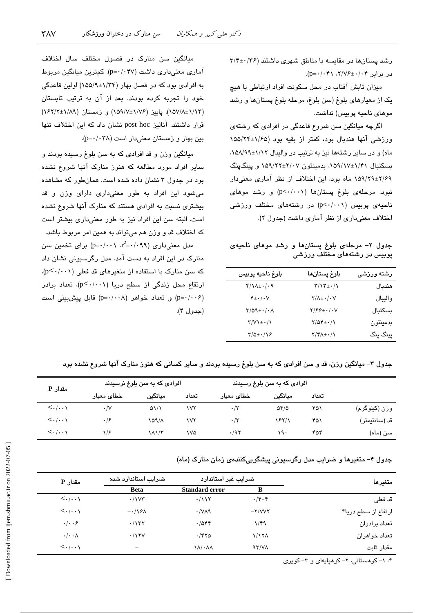رشد پستانها در مقایسه با مناطق شهری داشتند (۳۶/۴±۰/۳۶ در برابر ۲/۷۶±۰/۰۴۱ (p=۰/۰۴۱).

میزان تابش آفتاب در محل سکونت افراد ارتباطی با هیچ يک از معيارهاي بلوغ (سن بلوغ، مرحله بلوغ پستانها و رشد موهای ناحیه پوبیس) نداشت.

اگرچه میانگین سن شروع قاعدگی در افرادی که رشتهی ورزشی آنها هندبال بود، کمتر از بقیه بود (۱/۶۵±۱۵۵/۲۴ ماه) و در سایر رشتهها نیز به ترتیب در والیبال ۱/۱۲±۰/۸۹۸، بسکتبال ۱/۴۱±۱/۹۸، بدمینتون ۲/۰۷±۲/۲۲ و پینگپنگ ۲/۶۹±۲/۶۹ ماه بود، این اختلاف از نظر آماری معنیدار نبود. مرحلهی بلوغ پستانها (p<٠/٠٠١) و رشد موهای ناحیهی پوبیس (p<٠/٠٠١) در رشتههای مختلف ورزشی اختلاف معنیداری از نظر آماری داشت (جدول ۲).

جدول ۲- مرحلهی بلوغ پستانها و رشد موهای ناحیهی پوبیس در رشتههای مختلف ورزشی

| بلوغ ناحيه پوبيس                                 | بلوغ پستانها                                   | رشته ورزشى |
|--------------------------------------------------|------------------------------------------------|------------|
| $f/\lambda + \cdot$ /.9                          | $\Upsilon/\Upsilon \pm \cdot/\Upsilon$         | هندىال     |
| $\mathbf{f} \pm \cdot / \cdot \mathbf{V}$        | $Y/\Lambda \pm \cdot / \cdot V$                | واليبال    |
| $\Upsilon/\Delta\Lambda \pm \cdot/\cdot \Lambda$ | $Y/\mathcal{F}\mathcal{F} \pm \cdot / \cdot V$ | بسكتبال    |
| $Y/V$ + $\cdot/$                                 | $Y/\Delta f \pm \cdot / \sqrt{}$               | بدمينتون   |
| $\frac{1}{2}$                                    | $Y/Y\Lambda_{\pm}$ . $/\Lambda$                | پینگ پنگ   |

میانگین سن منارک در فصول مختلف سال اختلاف آماری معنی داری داشت (p=۰/۰۴۷). کمترین میانگین مربوط به افرادی بود که در فصل بهار (۱/۳۴±۱۵۵/۹) اولین قاعدگی خود را تجربه کرده بودند. بعد از آن به ترتیب تابستان (١/٨٣±١/١٨٩)، يابيز (١/٧±١/٥٩/٧) و زمستان (١/٩٢±١/٢) قرار داشتند. آنالیز post hoc نشان داد که این اختلاف تنها بین بهار و زمستان معنی دار است (p=٠/٠٣٨).

میانگین وزن و قد افرادی که به سن بلوغ رسیده بودند و سایر افراد مورد مطالعه که هنوز منارک آنها شروع نشده بود در جدول ۳ نشان داده شده است. همانطور که مشاهده میشود این افراد به طور معنیداری دارای وزن و قد بیشتری نسبت به افرادی هستند که منارک آنها شروع نشده است. البته سن این افراد نیز به طور معنیداری بیشتر است که اختلاف قد و وزن هم میتواند به همین امر مربوط باشد.

 $p = \cdot / \cdot \cdot \cdot x^2 = \cdot / \cdot \cdot \cdot$ مدل معنی داری (۰٫۹۹  $r^2 = \cdot / \cdot \cdot \cdot$ منارک در این افراد به دست آمد. مدل رگرسیونی نشان داد  $(p<\cdot/\cdot\cdot)$  که سن منارک با استفاده از متغیرهای قد فعلی ارتفاع محل زندگی از سطح دریا (p<۰/۰۰۱)، تعداد برادر (p=٠/٠٠۶) و تعداد خواهر (p=٠/٠٠٨) قابل پیش بینی است (جدول ۴).

جدول ۳– میانگین وزن، قد و سن افرادی که به سن بلوغ رسیده بودند و سایر کسانی که هنوز منارک آنها شروع نشده بود

| مقدار P                               |                     | افرادی که به سن بلوغ نرسیدند |       |              | افرادی که به سن بلوغ رسیدند |       |               |
|---------------------------------------|---------------------|------------------------------|-------|--------------|-----------------------------|-------|---------------|
|                                       | ـخطا <i>ی</i> معیار | ميانگين                      | تعداد | خطای معبار   | مىانگىن                     | تعداد |               |
| $\langle \cdot   \cdot \cdot \rangle$ | $\cdot/\vee$        | $\Delta \frac{1}{2}$         | ۱۷۲   | $\cdot/\tau$ | $\Delta f/\Delta$           | ۴۵۱   | وزن (کیلوگرم) |
| $\langle \ldots \rangle$              | .19                 | 109/1                        | ۱۷۲   | $\cdot/\tau$ | 1821                        | ۴۵۱   | قد (سانتيمتر) |
| $\langle \ldots \rangle$              | $\sqrt{2}$          | $\lambda\lambda/\tau$        | ۱۷۵   | .797         | ۱۹۰                         | ۴۵۴   | سن (ماه)      |

جدول ۴– متغیرها و ضرایب مدل رگرسیونی پیشگوییکنندهی زمان منارک (ماه)

| متغىرها             |                   | ضرایب غیر استاندارد           | ضرایب استاندارد شده      | مقدار P                               |
|---------------------|-------------------|-------------------------------|--------------------------|---------------------------------------|
|                     | B                 | Standard error                | <b>Beta</b>              |                                       |
| قد فعلي             | $\cdot$ /۴۰۴      | $\cdot$ /117                  | $\cdot$ / $\vee\vee\vee$ | $\langle \cdot   \cdot \cdot \rangle$ |
| ارتفاع از سطح دریا* | $-Y/VVY$          | $\cdot$ /vaq                  | $-\cdot/\sqrt{2\pi}$     | $\langle \ldots \rangle$              |
| تعداد برادران       | ۱/۴۹              | .7044                         | .7157                    | .   9                                 |
| تعداد خواهران       | 1/17 <sub>A</sub> | .788                          | .115V                    | $\cdot/\cdot\cdot\wedge$              |
| مقدار ثاىت          | 97/V <sub>A</sub> | $\lambda/\cdot\lambda\lambda$ | $\overline{\phantom{0}}$ | $\langle \ldots \rangle$              |

\*: ١- کوهستانی، ٢- کوهیایهای و ٣- کویری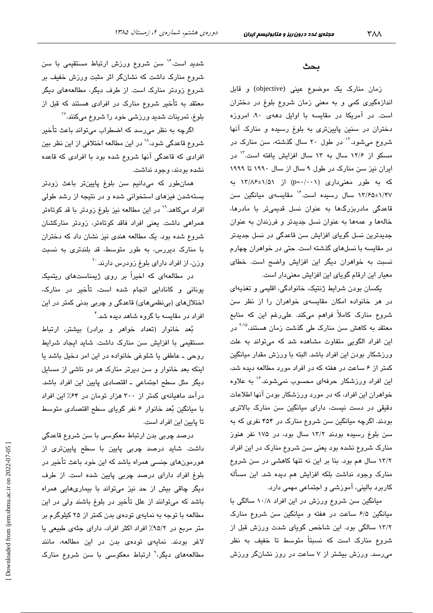شدید است.<sup>۱۶</sup> سن شروع ورزش ارتباط مستقیمی با سن شروع منارک داشت که نشانگر اثر مثبت ورزش خفیف بر شروع زودتر منارک است. از طرف دیگر، مطالعههای دیگر معتقد به تأخیر شروع منارک در افرادی هستند که قبل از بلوغ، تمرینات شدید ورزشی خود را شروع میکنند. ```

اگرچه به نظر میرسد که اضطراب میتواند باعث تأخیر شروع قاعدگی شود، `` در این مطالعه اختلافی از این نظر بین افرادی که قاعدگی آنها شروع شده بود با افرادی که قاعده نشده بودند، وجود نداشت.

همانطور که میدانیم سن بلوغ پایینتر باعث زودتر بستهشدن فیزهای استخوانی شده و در نتیجه از رشد طولی افراد میکاهد.<sup>۱۹</sup> در این مطالعه نیز بلوغ زودتر با قد کوتاهتر همراهی داشت. یعنی افراد فاقد کوتاهتر، زودتر منارکشان شروع شده بود. یک مطالعه هندی نیز نشان داد که دختران با منارک دیررس، به طور متوسط، قد بلندتری به نسبت وزن، از افراد دارای بلوغ زودرس دارند. <sup>۲۰</sup>

در مطالعهای که اخیراً بر روی ژیمناستهای ریتمیک یونانی و کانادایی انجام شده است، تأخیر در منارک، اختلالهای (بینظمیهای) قاعدگی و چربی بدنی کمتر در این افراد در مقاسیه یا گروه شاهد دیده شد. ٔ

بُعد خانوار (تعداد خواهر و برادر) بیشتر، ارتباط مستقیمی با افزایش سن منارک داشت. شاید ایجاد شرایط روحي ــ عاطفي يا شلوغي خانواده در اين امر دخيل باشد يا اینکه بعد خانوار و سن دیرتر منارک هر دو ناشی از مسایل دیگر مثل سطح اجتماعی ـ اقتصادی پایین این افراد باشد. درآمد ماهیانهی کمتر از ۳۰۰ هزار تومان در ۶۴٪ این افراد با میانگین بُعد خانوار ۶ نفر گویای سطح اقتصادی متوسط تا پایین این افراد است.

درصد چربی بدن ارتباط معکوسی با سن شروع قاعدگی داشت. شاید درصد چربی پایین با سطح پایینتری از هورمونهای جنسی همراه باشد که این خود باعث تأخیر در بلوغ افراد دارای درصد چربی پایین شده است. از طرف دیگر چاقی بیش از حد نیز میتواند با بیماریهایی همراه باشد که میتوانند از علل تأخیر در بلوغ باشند ولی در این مطالعه با توجه به نمایهی تودهی بدن کمتر از ۲۵ کیلوگرم بر متر مربع در ۹۵/۲٪ افراد اکثر افراد، دارای جثهی طبیعی یا لاغر بودند. نمایهی تودهی بدن در این مطالعه، مانند مطالعههای دیگر،<sup>۹</sup> ارتباط معکوسی با سن شروع منارک

#### بحث

زمان منارک یک موضوع عینی (objective) و قابل اندازهگیری کمی و به معنی زمان شروع بلوغ در دختران است. در آمریکا در مقایسه با اوایل دههی ۹۰، امروزه دختران در سنین پایینتری به بلوغ رسیده و منارک آنها شروع میشود.<sup>۱۲</sup> در طول ۲۰ سال گذشته، سن منارک در مسکو از ۱۲/۶ سال به ۱۳ سال افزایش یافته است.<sup>۱۲</sup> در ایران نیز سن منارک در طول ۹ سال از سال ۱۹۹۰ تا ۱۹۹۹ که به طور معنیداری (p=۰/۰۰۱) از ۱۳/۸۶±۱/۵۱ به ۱/۴۷±۱/۴۵ سال رسیده است.<sup>۱۴</sup> مقایسه یمیانگین سن قاعدگی مادربزرگها به عنوان نسل قدیمیتر با مادرها، خالهها و عمهها به عنوان نسل جدیدتر و فرزندان به عنوان جدیدترین نسل گویای افزایش سن قاعدگی در نسل جدیدتر در مقایسه با نسلهای گذشته است. حتی در خواهران چهارم نسبت به خواهران دیگر این افزایش واضح است. خطای معیار این ارقام گویای این افزایش معنیدار است.

یکسان بودن شرایط ژنتیک، خانوادگی، اقلیمی و تغذیهای در هر خانواده امکان مقایسهی خواهران را از نظر سن شروع منارک کاملاً فراهم میکند. علیرغم این که منابع معتقد به کاهش سن منارک طی گذشت زمان هستند،<sup>۳،۱۵</sup> در این افراد الگویی متفاوت مشاهده شد که میتواند به علت ورزشكار بودن اين افراد باشد. البته با ورزش مقدار ميانگين کمتر از ۶ ساعت در هفته که در افراد مورد مطالعه دیده شد، این افراد ورزشکار حرفهای محسوب نمیشوند. ٔ` به علاوه خواهران این افراد، که در مورد ورزشکار بودن آنها اطلاعات دقیقی در دست نیست، دارای میانگین سن منارک بالاتری بودند. اگرچه میانگین سن شروع منارک در ۴۵۴ نفری که به سن بلوغ رسیده بودند ۱۳/۲ سال بود، در ۱۷۵ نفر هنوز منارک شروع نشده بود یعنی سن شروع منارک در این افراد ۱۳/۲ سال هم بود. بنا بر این نه تنها کاهشی در سن شروع منارک وجود نداشت بلکه افزایش هم دیده شد. این مسأله کاربرد بالینی، آموزشی و اجتماعی مهمی دارد.

میانگین سن شروع ورزش در این افراد ۱۰/۸ سالگی با میانگین ۶/۵ ساعت در هفته و میانگین سن شروع منارک ۱۳/۲ سالگی بود. این شاخص گویای شدت ورزش قبل از شروع منارک است که نسبتاً متوسط تا خفیف به نظر میرسد. ورزش بیشتر از ۷ ساعت در روز نشانگر ورزش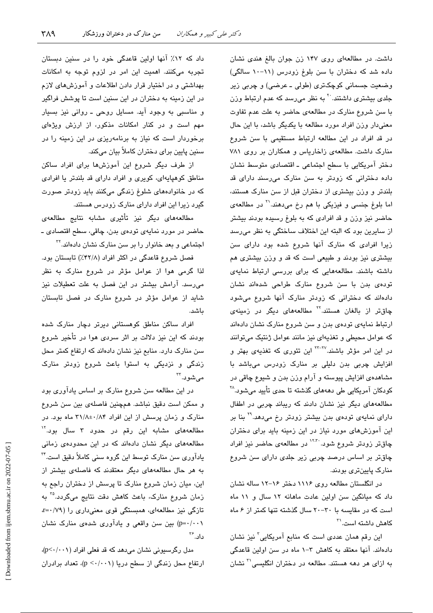داشت. در مطالعهای روی ۱۴۷ زن جوان بالغ هندی نشان داده شد که دختران با سن بلوغ زودرس (١١-١٠ سالگی) وضعیت جسمانی کوچکتری (طولی ـ عرضی) و چربی زیر جل*دی* بیشتری داشتند. <sup>۲۰</sup> به نظر میرسد که عدم ارتباط وزن با سن شروع منارک در مطالعهی حاضر به علت عدم تفاوت معنی دار وزن افراد مورد مطالعه با یکدیگر باشد، با این حال در قد افراد در این مطالعه ارتباط مستقیمی با سن شروع منارک داشت. مطالعهی زاخاریاس و همکاران بر روی ۷۸۱ دختر آمریکایی با سطح اجتماعی ـ اقتصادی متوسط نشان داده دخترانی که زودتر به سن منارک می رسند دارای قد بلندتر و وزن بیشتری از دختران قبل از سن منارک هستند، اما بلوغ جنسی و فیزیکی با هم رخ میدهند.<sup>۲۱</sup> در مطالعهی حاضر نیز وزن و قد افرادی که به بلوغ رسیده بودند بیشتر از سایرین بود که البته این اختلاف ساختگی به نظر می رسد زیرا افرادی که منارک آنها شروع شده بود دارای سن بیشتری نیز بودند و طبیعی است که قد و وزن بیشتری هم داشته باشند. مطالعههایی که برای بررسی ارتباط نمایهی تودهی بدن با سن شروع منارک طراحی شدهاند نشان دادهاند که دخترانی که زودتر منارک آنها شروع میشود چاقتر از بالغان هستند.<sup>۲۲</sup> مطالعههای دیگر در زمینهی ارتباط نمایهی تودهی بدن و سن شروع منارک نشان دادهاند که عوامل محیطی و تغذیهای نیز مانند عوامل ژنتیک میتوانند در این امر مؤثر باشند.<sup>۲۲–۲۲</sup> این تئوری که تغذیهی بهتر و افزایش چربی بدن دلیلی بر منارک زودرس میباشد با مشاهدهی افزایش پیوسته و آرام وزن بدن و شیوع چاقی در کودکان آمريکايي طي دهههاي گذشته تا حدي تأييد مي شود.<sup>۲۸</sup> مطالعههای دیگر نیز نشان دادند که ریباند چربی در اطفال دارای نمایهی تودهی بدن بیشتر زودتر رخ میدهد.<sup>۲۹</sup> بنا بر این آموزشهای مورد نیاز در این زمینه باید برای دختران چاقتر زودتر شروع شود.<sup>۱۲،۳۰</sup> در مطالعهی حاضر نیز افراد چاقتر بر اساس درصد چربی زیر جلدی دارای سن شروع منارک پایینتری بودند.

در انگلستان مطالعه روی ۱۱۱۶ دختر ۱۶–۱۲ ساله نشان داد که میانگین سن اولین عادت ماهانه ١٢ سال و ١١ ماه است که در مقایسه با ۳۰-۲۰ سال گذشته تنها کمتر از ۶ ماه كاهش داشته است.<sup>۳۱</sup>

این رقم همان عددی است که منابع آمریکایی ٔ نیز نشان دادهاند. آنها معتقد به کاهش ۳-۱ ماه در سن اولین قاعدگی به ازای هر دهه هستند. مطالعه در دختران انگلیسی<sup>۳۰</sup> نشان

داد که ۱۲٪ آنها اولین قاعدگی خود را در سنین دبستان تجربه میکنند. اهمیت این امر در لزوم توجه به امکانات بهداشتی و در اختیار قرار دادن اطلاعات و آموزشهای لازم در این زمینه به دختران در این سنین است تا پوشش فراگیر و مناسبی به وجود آید. مسایل روحی ـ روانی نیز بسیار مهم است و در کنار امکانات مذکور، از ارزش ویژهای برخوردار است که نیاز به برنامهریزی در این زمینه را در سنين پايين براي دختران كاملاً بيان ميكند.

از طرف دیگر شروع این آموزشها برای افراد ساکن مناطق کوهپایهای، کویری و افراد دارای قد بلندتر یا افرادی که در خانوادههای شلوغ زندگی میکنند باید زودتر صورت گیرد زیرا این افراد دارای منارک زودرس هستند.

مطالعههای دیگر نیز تأثیری مشابه نتایج مطالعهی حاضر در مورد نمايهي تودهي بدن، چاقي، سطح اقتصادي ــ اجتماعی و بعد خانوار را بر سن منارک نشان دادهاند.<sup>۳۲</sup>

فصل شروع قاعدگی در اکثر افراد (۴۲/۸٪) تابستان بود. لذا گرمی هوا از عوامل مؤثر در شروع منارک به نظر می رسد. آرامش بیشتر در این فصل به علت تعطیلات نیز شاید از عوامل مؤثر در شروع منارک در فصل تابستان ىاشد.

افراد ساکن مناطق کوهستانی دیرتر دچار منارک شده بودند که این نیز دلالت بر اثر سردی هوا در تأخیر شروع سن منارک دارد. منابع نیز نشان دادهاند که ارتفاع کمتر محل زندگی و نزدیکی به استوا باعث شروع زودتر منارک مے شود. ۳

در این مطالعه سن شروع منارک بر اساس یادآوری بود و ممكن است دقيق نباشد. همچنين فاصلهى بين سن شروع منارک و زمان پرسش از این افراد ۳۱/۸±۰/۸۴ ماه بود. در مطالعههای مشابه این رقم در حدود ۳ سال بود.<sup>۱۲</sup> مطالعههای دیگر نشان دادهاند که در این محدودهی زمانی یادآوری سن منارک توسط این گروه سنی کاملاً دقیق است." به هر حال مطالعههای دیگر معتقدند که فاصلهی بیشتر از این، میان زمان شروع منارک تا پرسش از دختران راجع به زمان شروع منارک، باعث کاهش دقت نتایج میگردد.<sup>۳۵</sup> به تازگی نیز مطالعهای، همبستگی قوی معنیداری را (۷۹/۰=<sub>1</sub> p=۰/۰۰۱) بین سن واقعی و یادآوری شدهی منارک نشان داد.″

مدل رگرسیونی نشان میدهد که قد فعلی افراد (p<٠/٠١)، ارتفاع محل زندگی از سطح دریا (p < · / · · ))، تعداد برادران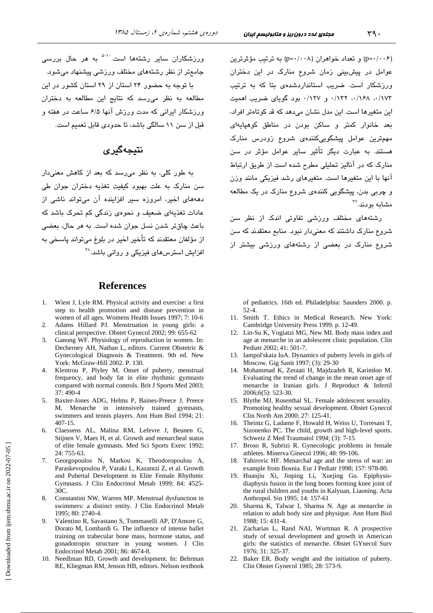(p=۰/۰۰۶) و تعداد خواهران (p=۰/۰۰۸) به ترتیب مؤثرترین عوامل در پیش سنی زمان شروع منارک در این دختران ورزشکار است. ضریب استانداردشدهی بتا که به ترتیب ٠/١٧٣، ١٤٨/٠، ١٢٢٧. و ١٢٧٧. بود گوياى ضريب اهميت این متغیرها است. این مدل نشان می دهد که قد کوتاهتر افراد، بعد خانوار کمتر و ساکن بودن در مناطق کوهیایهای مهمترین عوامل پیشگوییکنندهی شروع زودرس منارک هستند. به عبارت دیگر تأثیر سایر عوامل مؤثر در سن منارک که در آنالیز تحلیلی مطرح شده است از طریق ارتباط آنها با این متغیرها است. متغیرهای رشد فیزیکی مانند وزن و چربی بدن، پیشگویی کنندهی شروع منارک در یک مطالعه مشابه بو دند.۳۷

رشتههای مختلف ورزشی تفاوتی اندک از نظر سن شروع منارک داشتند که معنیدار نبود. منابع معتقدند که سن شروع منارک در بعضی از رشتههای ورزشی بیشتر از

of pediatrics. 16th ed. Philadelphia: Saunders 2000. p.  $52 - 4.$ 

- 11. Smith T. Ethics in Medical Research. New York: Cambridge University Press 1999. p. 12-49.
- 12. Lin-Su K, Vogiatzi MG, New MI. Body mass index and age at menarche in an adolescent clinic population. Clin Pediatr 2002; 41: 501-7.
- Iampol'skaia IuA. Dynamics of puberty levels in girls of Moscow. Gig Sanit 1997; (3): 29-30
- 14. Mohammad K, Zeraati H, Majdzadeh R, Karimloo M. Evaluating the trend of change in the mean onset age of menarche in Iranian girls. J Reproduct & Infertil 2006;6(5): 523-30.
- 15. Blythe MJ, Rosenthal SL. Female adolescent sexuality. Promoting healthy sexual development. Obstet Gynecol Clin North Am 2000; 27: 125-41.
- 16. Theintz G, Ladame F, Howald H, Weiss U, Torresani T, Sizonenko PC. The child, growth and high-level sports. Schweiz Z Med Traumatol 1994; (3): 7-15
- 17. Broso R. Subrizi R. Gynecologic problems in female athletes. Minerva Ginecol 1996; 48: 99-106.
- Tahirovic HF. Menarchal age and the stress of war: an 18. example from Bosnia. Eur J Pediatr 1998; 157: 978-80.
- Huanjiu Xi, Jinping Li, Xuejing Gu. Epiphysis- $19<sub>1</sub>$ diaphysis fusion in the long bones forming knee joint of the rural children and youths in Kalyuan, Liaoning. Acta Anthropol. Sin 1995; 14: 157-61
- 20. Sharma K, Talwar I, Sharma N. Age at menarche in relation to adult body size and physique. Ann Hum Biol 1988; 15: 431-4.
- 21. Zacharias L, Rand NAI, Wurtman R. A prospective study of sexual development and growth in American girls: the statistics of menarche. Obstet GYnecol Surv 1976; 31: 325-37.
- 22. Baker ER. Body weight and the initiation of puberty. Clin Obstet Gynecol 1985: 28: 573-9.

ورزشکاران سایر رشتهها است.<sup>۵-۱۰</sup> به هر حال بررس*ی* جامعتر از نظر رشتههای مختلف ورزشی پیشنهاد می شود. با توجه به حضور ۲۴ استان از ۲۹ استان کشور در این مطالعه به نظر میرسد که نتایج این مطالعه به دختران ورزشکار ایرانی که مدت ورزش آنها ۶/۵ ساعت در هفته و

#### نتىجەگىرى

قبل از سن ١١ سالگی باشد، تا جدودی قابل تعمیم است.

به طور کل*ی،* به نظر می<sub>ا</sub>رسد که بعد از کاهش معنیدار سن منارک به علت بهبود کیفیت تغذیه دختران جوان طی دهههای اخیر، امروزه سیر افزاینده آن میتواند ناشی از عادات تغذیهای ضعیف <sub>و</sub> نجوهی زندگی کم تجرک باشد که باعث چاقتر شدن نسل جوان شده است. به هر حال، بعضی از مؤلفان معتقدند که تأخیر اخیر در بلوغ میتواند پاسخی به افزایش استرس های فیزیکی و روانی پاشد. <sup>۳۸</sup>

#### **References**

- 1. Wiest J, Lyle RM. Physical activity and exercise: a first step to health promotion and disease prevention in women of all ages. Womens Health Issues 1997; 7: 10-6
- 2. Adams Hillard PJ. Menstruation in young girls: a clinical perspective. Obstet Gynecol 2002; 99: 655-62
- 3. Ganong WF. Physiology of reproduction in women. In: Decherney AH, Nathan L, editors. Current Obstetric & Gynecological Diagnosis & Treatment. 9th ed. New York: McGraw-Hill 2002. P. 130.
- 4. Klentrou P, Plyley M. Onset of puberty, menstrual frequency, and body fat in elite rhythmic gymnasts compared with normal controls. Brit J Sports Med 2003; 37:490-4
- 5. Baxter-Jones ADG, Helms P, Baines-Preece J, Preece M. Menarche in intensively trained gymnasts, swimmers and tennis players. Ann Hum Biol 1994; 21: 407-15.
- Claessens AL, Malina RM, Lefevre J, Beunen G, 6. Stijnen V, Maes H, et al. Growth and menarcheal status of elite female gymnasts. Med Sci Sports Exerc 1992; 24: 755-63.
- 7. Georgopoulos N, Markou K, Theodoropoulou A, Paraskevopoulou P, Varaki L, Kazantzi Z, et al. Growth and Pubertal Development in Elite Female Rhythmic Gymnasts. J Clin Endocrinol Metab 1999; 84: 4525- $30<sub>C</sub>$
- Constantini NW, Warren MP. Menstrual dysfunction in 8. swimmers: a distinct entity. J Clin Endocrinol Metab 1995; 80: 2740-4.
- $\mathbf{Q}$ Valentino R, Savastano S, Tommaselli AP, D'Amore G, Dorato M, Lombardi G. The influence of intense ballet training on trabecular bone mass, hormone status, and gonadotropin structure in young women. J Clin Endocrinol Metab 2001; 86: 4674-8.
- 10. Needlman RD, Growth and development. In: Behrman RE, Kliegman RM, Jenson HB, editors. Nelson textbook

Downloaded from ijem.sbmu.ac.ir on 2022-07-05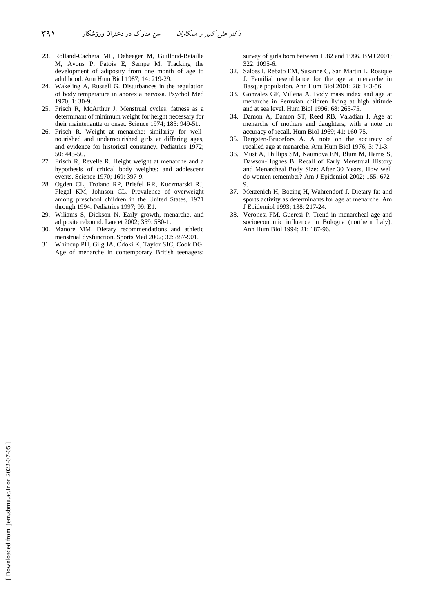- 23. Rolland-Cachera MF, Deheeger M, Guilloud-Bataille M, Avons P, Patois E, Sempe M. Tracking the development of adiposity from one month of age to adulthood. Ann Hum Biol 1987; 14: 219-29.
- 24. Wakeling A, Russell G. Disturbances in the regulation of body temperature in anorexia nervosa. Psychol Med 1970; 1: 30-9.
- 25. Frisch R, McArthur J. Menstrual cycles: fatness as a determinant of minimum weight for height necessary for their maintenantte or onset. Science 1974; 185: 949-51.
- 26. Frisch R. Weight at menarche: similarity for wellnourished and undernourished girls at differing ages, and evidence for historical constancy. Pediatrics 1972; 50: 445-50.
- 27. Frisch R, Revelle R. Height weight at menarche and a hypothesis of critical body weights: and adolescent events. Science 1970; 169: 397-9.
- 28. Ogden CL, Troiano RP, Briefel RR, Kuczmarski RJ, Flegal KM, Johnson CL. Prevalence of overweight among preschool children in the United States, 1971 through 1994. Pediatrics 1997; 99: E1.
- 29. Wiliams S, Dickson N. Early growth, menarche, and adiposite rebound. Lancet 2002; 359: 580-1.
- 30. Manore MM. Dietary recommendations and athletic menstrual dysfunction. Sports Med 2002; 32: 887-901.
- 31. Whincup PH, Gilg JA, Odoki K, Taylor SJC, Cook DG. Age of menarche in contemporary British teenagers:

survey of girls born between 1982 and 1986. BMJ 2001;  $322 \cdot 1095 - 6$ 

- 32. Salces I, Rebato EM, Susanne C, San Martin L, Rosique J. Familial resemblance for the age at menarche in Basque population. Ann Hum Biol 2001; 28: 143-56.
- 33. Gonzales GF, Villena A. Body mass index and age at menarche in Peruvian children living at high altitude and at sea level. Hum Biol 1996; 68: 265-75.
- 34. Damon A, Damon ST, Reed RB, Valadian I. Age at menarche of mothers and daughters, with a note on accuracy of recall. Hum Biol 1969; 41: 160-75.
- 35. Bergsten-Brucefors A. A note on the accuracy of recalled age at menarche. Ann Hum Biol 1976; 3: 71-3.
- 36. Must A, Phillips SM, Naumova EN, Blum M, Harris S, Dawson-Hughes B. Recall of Early Menstrual History and Menarcheal Body Size: After 30 Years, How well do women remember? Am J Epidemiol 2002; 155: 672- 9.
- 37. Merzenich H, Boeing H, Wahrendorf J. Dietary fat and sports activity as determinants for age at menarche. Am J Epidemiol 1993; 138: 217-24.
- 38. Veronesi FM, Gueresi P. Trend in menarcheal age and socioeconomic influence in Bologna (northern Italy). Ann Hum Biol 1994; 21: 187-96.